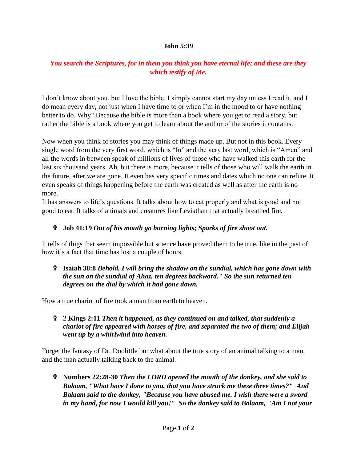#### **John 5:39**

# *You search the Scriptures, for in them you think you have eternal life; and these are they which testify of Me.*

I don't know about you, but I love the bible. I simply cannot start my day unless I read it, and I do mean every day, not just when I have time to or when I'm in the mood to or have nothing better to do. Why? Because the bible is more than a book where you get to read a story, but rather the bible is a book where you get to learn about the author of the stories it contains.

Now when you think of stories you may think of things made up. But not in this book. Every single word from the very first word, which is "In" and the very last word, which is "Amen" and all the words in between speak of millions of lives of those who have walked this earth for the last six thousand years. Ah, but there is more, because it tells of those who will walk the earth in the future, after we are gone. It even has very specific times and dates which no one can refute. It even speaks of things happening before the earth was created as well as after the earth is no more.

It has answers to life's questions. It talks about how to eat properly and what is good and not good to eat. It talks of animals and creatures like Leviathan that actually breathed fire.

### **Job 41:19** *Out of his mouth go burning lights; Sparks of fire shoot out.*

It tells of thigs that seem impossible but science have proved them to be true, like in the past of how it's a fact that time has lost a couple of hours.

### **Isaiah 38:8** *Behold, I will bring the shadow on the sundial, which has gone down with the sun on the sundial of Ahaz, ten degrees backward." So the sun returned ten degrees on the dial by which it had gone down.*

How a true chariot of fire took a man from earth to heaven.

## **2 Kings 2:11** *Then it happened, as they continued on and talked, that suddenly a chariot of fire appeared with horses of fire, and separated the two of them; and Elijah went up by a whirlwind into heaven.*

Forget the fantasy of Dr. Doolittle but what about the true story of an animal talking to a man, and the man actually talking back to the animal.

 **Numbers 22:28-30** *Then the LORD opened the mouth of the donkey, and she said to Balaam, "What have I done to you, that you have struck me these three times?" And Balaam said to the donkey, "Because you have abused me. I wish there were a sword in my hand, for now I would kill you!" So the donkey said to Balaam, "Am I not your*